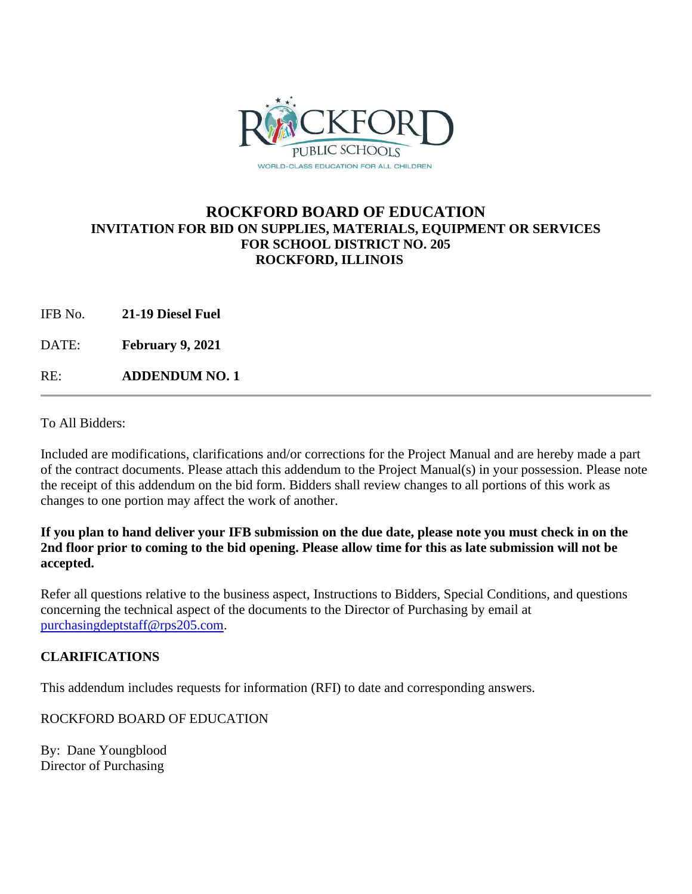

## **ROCKFORD BOARD OF EDUCATION INVITATION FOR BID ON SUPPLIES, MATERIALS, EQUIPMENT OR SERVICES FOR SCHOOL DISTRICT NO. 205 ROCKFORD, ILLINOIS**

IFB No. **21-19 Diesel Fuel**

DATE: **February 9, 2021**

RE: **ADDENDUM NO. 1**

To All Bidders:

Included are modifications, clarifications and/or corrections for the Project Manual and are hereby made a part of the contract documents. Please attach this addendum to the Project Manual(s) in your possession. Please note the receipt of this addendum on the bid form. Bidders shall review changes to all portions of this work as changes to one portion may affect the work of another.

**If you plan to hand deliver your IFB submission on the due date, please note you must check in on the 2nd floor prior to coming to the bid opening. Please allow time for this as late submission will not be accepted.**

Refer all questions relative to the business aspect, Instructions to Bidders, Special Conditions, and questions concerning the technical aspect of the documents to the Director of Purchasing by email at [purchasingdeptstaff@rps205.com.](mailto:purchasingdeptstaff@rps205.com)

## **CLARIFICATIONS**

This addendum includes requests for information (RFI) to date and corresponding answers.

ROCKFORD BOARD OF EDUCATION

By: Dane Youngblood Director of Purchasing